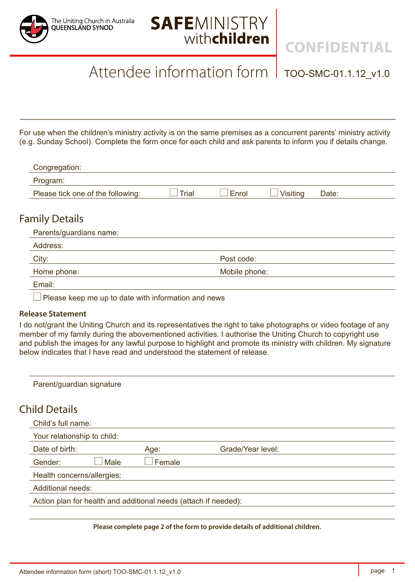



**CONFIDENTIAL**

## Attendee information form | TOO-SMC-01.1.12\_v1.0

For use when the children's ministry activity is on the same premises as a concurrent parents' ministry activity (e.g. Sunday School). Complete the form once for each child and ask parents to inform you if details change.

| Congregation:                     |       |       |          |       |  |
|-----------------------------------|-------|-------|----------|-------|--|
| Program:                          |       |       |          |       |  |
| Please tick one of the following: | Trial | Enrol | Visitina | Date: |  |

### Family Details

| Parents/guardians name:  |               |  |
|--------------------------|---------------|--|
| Address:                 |               |  |
| City:                    | Post code:    |  |
| Home phone:              | Mobile phone: |  |
| Email:                   |               |  |
| $\overline{\phantom{0}}$ |               |  |

 $\Box$  Please keep me up to date with information and news

#### **Release Statement**

I do not/grant the Uniting Church and its representatives the right to take photographs or video footage of any member of my family during the abovementioned activities. I authorise the Uniting Church to copyright use and publish the images for any lawful purpose to highlight and promote its ministry with children. My signature below indicates that I have read and understood the statement of release.

| Parent/guardian signature                                       |        |                   |  |  |  |
|-----------------------------------------------------------------|--------|-------------------|--|--|--|
| <b>Child Details</b>                                            |        |                   |  |  |  |
| Child's full name:                                              |        |                   |  |  |  |
| Your relationship to child:                                     |        |                   |  |  |  |
| Date of birth:                                                  | Age:   | Grade/Year level: |  |  |  |
| Male<br>Gender:                                                 | Female |                   |  |  |  |
| Health concerns/allergies:                                      |        |                   |  |  |  |
| <b>Additional needs:</b>                                        |        |                   |  |  |  |
| Action plan for health and additional needs (attach if needed): |        |                   |  |  |  |
|                                                                 |        |                   |  |  |  |

**Please complete page 2 of the form to provide details of additional children.**